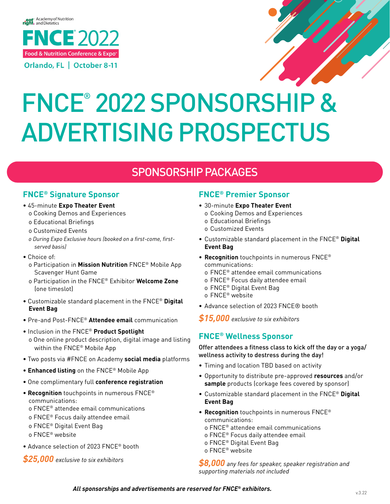# **Food & Nutrition Conference & Expo™**



# FNCE® 2022 SPONSORSHIP & ADVERTISING PROSPECTUS

#### **eatrightPRO Hero Image Ad** SPONSORSHIP PACKAGES

# **Orlando, FL | October 8-11 FNCE® Signature Sponsor**

- 45-minute **Expo Theater Event**
	- **Community September 2018**<br>The Cooking Demos and Experiences
	- o Educational Briefings
	- o Customized Events
	- SIMON o During Expo Exclusive hours (booked on a first-come, first-<br>served basis)<br>Chaise of *served basis)*
- Choice of:
	- o Participation in **Mission Nutrition** FNCE® Mobile App Scavenger Hunt Game
	- **Social** (one timeslot) o Participation in the FNCE® Exhibitor **Welcome Zone**
- **Graphic** Customizable standard placement in the FNCE® **Digital Event Bag**
- **Food & Nutrition Conference & Expo™** • Pre-and Post-FNCE® **Attendee email** communication
- Inclusion in the FNCE® **Product Spotlight**
- **Registration for**  o One online product description, digital image and listing within the FNCE® Mobile App
- **FNCE® 2022 is** Two posts via #FNCE on Academy **social media** platforms
- **Enhanced listing** on the FNCE® Mobile App Open Open Open Open Open Open Open Open Open Open Open Open Open Open Open Open Open Open Open Open Open Open Open Open Open •
- One complimentary full **conference registration**
- **Recognition** touchpoints in numerous FNCE® communications:
	- o FNCE® attendee email communications
	- o FNCE® Focus daily attendee email
	- o FNCE® Digital Event Bag
	- o FNCE® website
- Advance selection of 2023 FNCE® booth

*\$25,000 exclusive to six exhibitors* 

#### **FNCE® Premier Sponsor**

- **Food & Nutrition Conference & Expo™ •** 30-minute **Expo Theater Event**
- o Cooking Demos and Experiences
- o Educational Briefings
- o Customized Events
- **Opens** Customizable standard placement in the FNCE® **Digital September 1st ! Event Bag**
- communications:<br>o FNCE® attendee email communications • **Recognition** touchpoints in numerous FNCE® communications:
	-
	- attendee email<br>nt Bag o FNCE® Focus daily attendee email
	- o FNCE® Digital Event Bag
	- o FNCE® website
- Advance selection of 2023 FNCE® booth

of the nutrition and dietetics field. *\$15,000 exclusive to six exhibitors* 

#### $\mathsf{FNCE}^{\circledast}$  Wellness Sponsor and improve your chances of acceptance, between  $\mathcal{L}_{\mathcal{A}}$

 $\cdot$  What perspectives and  $\cdot$  is a perspectively with  $\cdot$ wellness activity to destress during the day! Offer attendees a fitness class to kick off the day or a yoga/

- Timing and location TBD based on activity
- professional skills? • Opportunity to distribute pre-approved **resources** and/or **sample** products (corkage fees covered by sponsor)
- $T$ osubmit a proposal or to  $T$  and guidelines, and guidelines, and guidelines, and guidelines, and guidelines, and guidelines, and guidelines, and guidelines, and guidelines, and guidelines, and guidelines, and guideline • Customizable standard placement in the FNCE® **Digital Event Bag**
- **Recognition** touchpoints in numerous FNCE® communications: o FNCE® attendee email communications
	- o FNCE® Focus daily attendee email
	- o FNCE® Digital Event Bag
	- o FNCE® website

*\$8,000 any fees for speaker, speaker registration and supporting materials not included*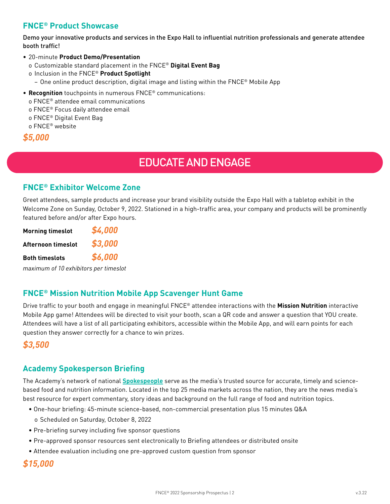# **FNCE® Product Showcase**

Demo your innovative products and services in the Expo Hall to influential nutrition professionals and generate attendee booth traffic!

- 20-minute **Product Demo/Presentation**
	- o Customizable standard placement in the FNCE® **Digital Event Bag**
	- o Inclusion in the FNCE® **Product Spotlight**
	- − One online product description, digital image and listing within the FNCE® Mobile App
- **Recognition** touchpoints in numerous FNCE® communications:
- o FNCE® attendee email communications

o FNCE® Focus daily attendee email

- o FNCE® Digital Event Bag
- o FNCE® website

```
$5,000
```
# EDUCATE AND ENGAGE

## **FNCE® Exhibitor Welcome Zone**

Greet attendees, sample products and increase your brand visibility outside the Expo Hall with a tabletop exhibit in the Welcome Zone on Sunday, October 9, 2022. Stationed in a high-traffic area, your company and products will be prominently featured before and/or after Expo hours.

| <b>Morning timeslot</b> | \$4,000 |
|-------------------------|---------|
| Afternoon timeslot      | \$3,000 |
| <b>Both timeslots</b>   | \$6,000 |
|                         |         |

*maximum of 10 exhibitors per timeslot*

## **FNCE® Mission Nutrition Mobile App Scavenger Hunt Game**

Drive traffic to your booth and engage in meaningful FNCE® attendee interactions with the **Mission Nutrition** interactive Mobile App game! Attendees will be directed to visit your booth, scan a QR code and answer a question that YOU create. Attendees will have a list of all participating exhibitors, accessible within the Mobile App, and will earn points for each question they answer correctly for a chance to win prizes.

# *\$3,500*

## **Academy Spokesperson Briefing**

The Academy's network of national **[Spokespeople](https://www.eatrightpro.org/media/meet-our-spokespeople/spokespeople)** serve as the media's trusted source for accurate, timely and sciencebased food and nutrition information. Located in the top 25 media markets across the nation, they are the news media's best resource for expert commentary, story ideas and background on the full range of food and nutrition topics.

- One-hour briefing: 45-minute science-based, non-commercial presentation plus 15 minutes Q&A
- o Scheduled on Saturday, October 8, 2022
- Pre-briefing survey including five sponsor questions
- Pre-approved sponsor resources sent electronically to Briefing attendees or distributed onsite
- Attendee evaluation including one pre-approved custom question from sponsor

## *\$15,000*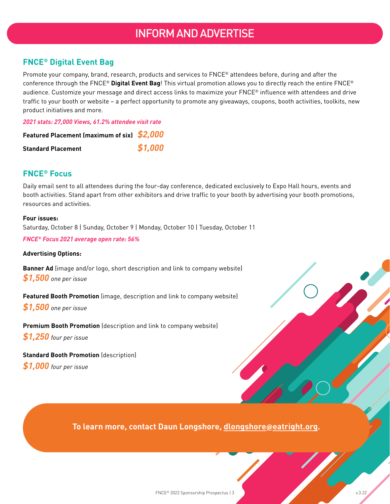# INFORM AND ADVERTISE

# **FNCE® Digital Event Bag**

Promote your company, brand, research, products and services to FNCE® attendees before, during and after the conference through the FNCE® **Digital Event Bag**! This virtual promotion allows you to directly reach the entire FNCE® audience. Customize your message and direct access links to maximize your FNCE® influence with attendees and drive traffic to your booth or website – a perfect opportunity to promote any giveaways, coupons, booth activities, toolkits, new product initiatives and more.

*2021 stats: 27,000 Views, 61.2% attendee visit rate*

| Featured Placement (maximum of six) \$2,000 |         |
|---------------------------------------------|---------|
| <b>Standard Placement</b>                   | \$1,000 |

#### **FNCE® Focus**

Local definition claim apartment entity entities and affine terms to your economy derived.<br>
resources and activities. Daily email sent to all attendees during the four-day conference, dedicated exclusively to Expo Hall hours, events and booth activities. Stand apart from other exhibitors and drive traffic to your booth by advertising your booth promotions, resources and activities.

> **Four issues:** Saturday, October 8 | Sunday, October 9 | Monday, October 10 | Tuesday, October 11

*FNCE® Focus 2021 average open rate: 56%*

#### **Advertising Options:**

**Banner Ad** (image and/or logo, short description and link to company website) *\$1,500 one per issue*

**Featured Booth Promotion** (image, description and link to company website)

*\$1,500 one per issue*

**Premium Booth Promotion** (description and link to company website)

*\$1,250 four per issue*

#### **Standard Booth Promotion** (description)

*\$1,000 four per issue*

**Food & Nutrition Conference & Expo™**

**Orlando, FL (1996) To learn more, contact Daun Longshore, dlongshore**@**[eatright.org](mailto:dlongshore%40eatright.org?subject=).**